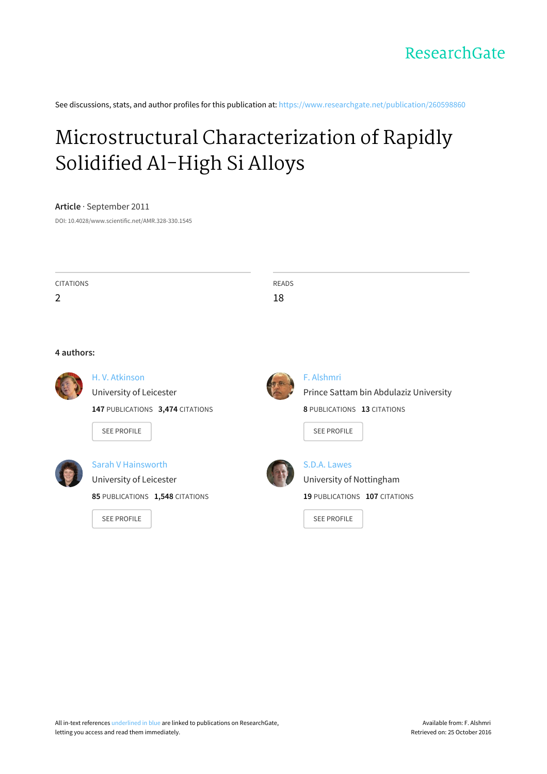See discussions, stats, and author profiles for this publication at: [https://www.researchgate.net/publication/260598860](https://www.researchgate.net/publication/260598860_Microstructural_Characterization_of_Rapidly_Solidified_Al-High_Si_Alloys?enrichId=rgreq-e4b3266f5df9c0926a53f333b7cb74a2-XXX&enrichSource=Y292ZXJQYWdlOzI2MDU5ODg2MDtBUzozMzY2NjE4NDcyNjUyODBAMTQ1NzI3Nzg0NzYwMw%3D%3D&el=1_x_2)

# Microstructural [Characterization](https://www.researchgate.net/publication/260598860_Microstructural_Characterization_of_Rapidly_Solidified_Al-High_Si_Alloys?enrichId=rgreq-e4b3266f5df9c0926a53f333b7cb74a2-XXX&enrichSource=Y292ZXJQYWdlOzI2MDU5ODg2MDtBUzozMzY2NjE4NDcyNjUyODBAMTQ1NzI3Nzg0NzYwMw%3D%3D&el=1_x_3) of Rapidly Solidified Al-High Si Alloys

#### **Article** · September 2011

DOI: 10.4028/www.scientific.net/AMR.328-330.1545

| <b>CITATIONS</b> | READS |  |
|------------------|-------|--|
| 2                | 18    |  |
|                  |       |  |
|                  |       |  |
|                  |       |  |





H. V. [Atkinson](https://www.researchgate.net/profile/H_Atkinson?enrichId=rgreq-e4b3266f5df9c0926a53f333b7cb74a2-XXX&enrichSource=Y292ZXJQYWdlOzI2MDU5ODg2MDtBUzozMzY2NjE4NDcyNjUyODBAMTQ1NzI3Nzg0NzYwMw%3D%3D&el=1_x_5) [University](https://www.researchgate.net/institution/University_of_Leicester?enrichId=rgreq-e4b3266f5df9c0926a53f333b7cb74a2-XXX&enrichSource=Y292ZXJQYWdlOzI2MDU5ODg2MDtBUzozMzY2NjE4NDcyNjUyODBAMTQ1NzI3Nzg0NzYwMw%3D%3D&el=1_x_6) of Leicester

**147** PUBLICATIONS **3,474** CITATIONS

SEE [PROFILE](https://www.researchgate.net/profile/H_Atkinson?enrichId=rgreq-e4b3266f5df9c0926a53f333b7cb74a2-XXX&enrichSource=Y292ZXJQYWdlOzI2MDU5ODg2MDtBUzozMzY2NjE4NDcyNjUyODBAMTQ1NzI3Nzg0NzYwMw%3D%3D&el=1_x_7)



Sarah V [Hainsworth](https://www.researchgate.net/profile/Sarah_Hainsworth?enrichId=rgreq-e4b3266f5df9c0926a53f333b7cb74a2-XXX&enrichSource=Y292ZXJQYWdlOzI2MDU5ODg2MDtBUzozMzY2NjE4NDcyNjUyODBAMTQ1NzI3Nzg0NzYwMw%3D%3D&el=1_x_5) [University](https://www.researchgate.net/institution/University_of_Leicester?enrichId=rgreq-e4b3266f5df9c0926a53f333b7cb74a2-XXX&enrichSource=Y292ZXJQYWdlOzI2MDU5ODg2MDtBUzozMzY2NjE4NDcyNjUyODBAMTQ1NzI3Nzg0NzYwMw%3D%3D&el=1_x_6) of Leicester **85** PUBLICATIONS **1,548** CITATIONS

SEE [PROFILE](https://www.researchgate.net/profile/Sarah_Hainsworth?enrichId=rgreq-e4b3266f5df9c0926a53f333b7cb74a2-XXX&enrichSource=Y292ZXJQYWdlOzI2MDU5ODg2MDtBUzozMzY2NjE4NDcyNjUyODBAMTQ1NzI3Nzg0NzYwMw%3D%3D&el=1_x_7)



#### F. [Alshmri](https://www.researchgate.net/profile/F_Alshmri?enrichId=rgreq-e4b3266f5df9c0926a53f333b7cb74a2-XXX&enrichSource=Y292ZXJQYWdlOzI2MDU5ODg2MDtBUzozMzY2NjE4NDcyNjUyODBAMTQ1NzI3Nzg0NzYwMw%3D%3D&el=1_x_5)

Prince Sattam bin Abdulaziz [University](https://www.researchgate.net/institution/Prince_Sattam_bin_Abdulaziz_University?enrichId=rgreq-e4b3266f5df9c0926a53f333b7cb74a2-XXX&enrichSource=Y292ZXJQYWdlOzI2MDU5ODg2MDtBUzozMzY2NjE4NDcyNjUyODBAMTQ1NzI3Nzg0NzYwMw%3D%3D&el=1_x_6) **8** PUBLICATIONS **13** CITATIONS

SEE [PROFILE](https://www.researchgate.net/profile/F_Alshmri?enrichId=rgreq-e4b3266f5df9c0926a53f333b7cb74a2-XXX&enrichSource=Y292ZXJQYWdlOzI2MDU5ODg2MDtBUzozMzY2NjE4NDcyNjUyODBAMTQ1NzI3Nzg0NzYwMw%3D%3D&el=1_x_7)



S.D.A. [Lawes](https://www.researchgate.net/profile/Sda_Lawes?enrichId=rgreq-e4b3266f5df9c0926a53f333b7cb74a2-XXX&enrichSource=Y292ZXJQYWdlOzI2MDU5ODg2MDtBUzozMzY2NjE4NDcyNjUyODBAMTQ1NzI3Nzg0NzYwMw%3D%3D&el=1_x_5) University of [Nottingham](https://www.researchgate.net/institution/University_of_Nottingham?enrichId=rgreq-e4b3266f5df9c0926a53f333b7cb74a2-XXX&enrichSource=Y292ZXJQYWdlOzI2MDU5ODg2MDtBUzozMzY2NjE4NDcyNjUyODBAMTQ1NzI3Nzg0NzYwMw%3D%3D&el=1_x_6) **19** PUBLICATIONS **107** CITATIONS

SEE [PROFILE](https://www.researchgate.net/profile/Sda_Lawes?enrichId=rgreq-e4b3266f5df9c0926a53f333b7cb74a2-XXX&enrichSource=Y292ZXJQYWdlOzI2MDU5ODg2MDtBUzozMzY2NjE4NDcyNjUyODBAMTQ1NzI3Nzg0NzYwMw%3D%3D&el=1_x_7)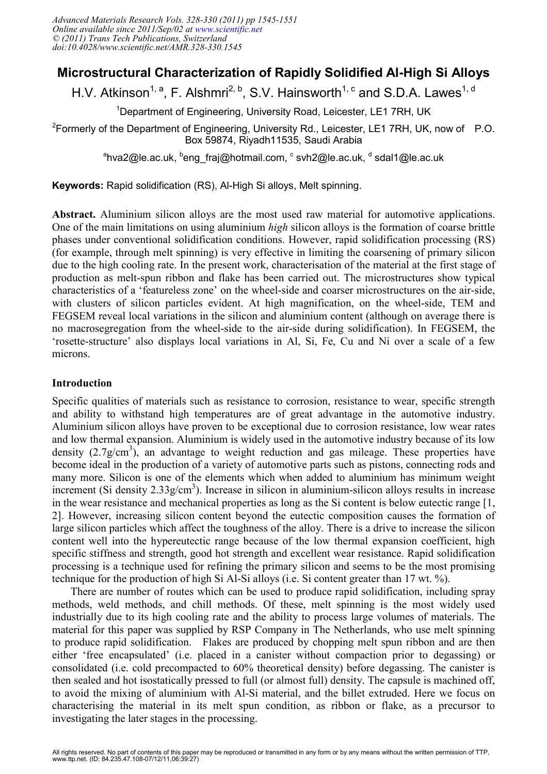# **Microstructural Characterization of Rapidly Solidified Al-High Si Alloys**

H.V. Atkinson<sup>1, a</sup>, F. Alshmri<sup>2, b</sup>, S.V. Hainsworth<sup>1, c</sup> and S.D.A. Lawes<sup>1, d</sup>

<sup>1</sup>Department of Engineering, University Road, Leicester, LE1 7RH, UK

<sup>2</sup>Formerly of the Department of Engineering, University Rd., Leicester, LE1 7RH, UK, now of P.O. Box 59874, Riyadh11535, Saudi Arabia

<sup>a</sup>hva2@le.ac.uk, <sup>b</sup>eng\_fraj@hotmail.com, <sup>c</sup> svh2@le.ac.uk, <sup>d</sup> sdal1@le.ac.uk

**Keywords:** Rapid solidification (RS), Al-High Si alloys, Melt spinning.

**Abstract.** Aluminium silicon alloys are the most used raw material for automotive applications. One of the main limitations on using aluminium *high* silicon alloys is the formation of coarse brittle phases under conventional solidification conditions. However, rapid solidification processing (RS) (for example, through melt spinning) is very effective in limiting the coarsening of primary silicon due to the high cooling rate. In the present work, characterisation of the material at the first stage of production as melt-spun ribbon and flake has been carried out. The microstructures show typical characteristics of a 'featureless zone' on the wheel-side and coarser microstructures on the air-side, with clusters of silicon particles evident. At high magnification, on the wheel-side, TEM and FEGSEM reveal local variations in the silicon and aluminium content (although on average there is no macrosegregation from the wheel-side to the air-side during solidification). In FEGSEM, the 'rosette-structure' also displays local variations in Al, Si, Fe, Cu and Ni over a scale of a few microns.

## **Introduction**

Specific qualities of materials such as resistance to corrosion, resistance to wear, specific strength and ability to withstand high temperatures are of great advantage in the automotive industry. Aluminium silicon alloys have proven to be exceptional due to corrosion resistance, low wear rates and low thermal expansion. Aluminium is widely used in the automotive industry because of its low density  $(2.7g/cm<sup>3</sup>)$ , an advantage to weight reduction and gas mileage. These properties have become ideal in the production of a variety of automotive parts such as pistons, connecting rods and many more. Silicon is one of the elements which when added to aluminium has minimum weight increment (Si density  $2.33g/cm<sup>3</sup>$ ). Increase in silicon in aluminium-silicon alloys results in increase in the wear resistance and mechanical properties as long as the Si content is below eutectic range [1, 2]. However, increasing silicon content beyond the eutectic composition causes the formation of large silicon particles which affect the toughness of the alloy. There is a drive to increase the silicon content well into the hypereutectic range because of the low thermal expansion coefficient, high specific stiffness and strength, good hot strength and excellent wear resistance. Rapid solidification processing is a technique used for refining the primary silicon and seems to be the most promising technique for the production of high Si Al-Si alloys (i.e. Si content greater than 17 wt. %).

 There are number of routes which can be used to produce rapid solidification, including spray methods, weld methods, and chill methods. Of these, melt spinning is the most widely used industrially due to its high cooling rate and the ability to process large volumes of materials. The material for this paper was supplied by RSP Company in The Netherlands, who use melt spinning to produce rapid solidification. Flakes are produced by chopping melt spun ribbon and are then either 'free encapsulated' (i.e. placed in a canister without compaction prior to degassing) or consolidated (i.e. cold precompacted to 60% theoretical density) before degassing. The canister is then sealed and hot isostatically pressed to full (or almost full) density. The capsule is machined off, to avoid the mixing of aluminium with Al-Si material, and the billet extruded. Here we focus on characterising the material in its melt spun condition, as ribbon or flake, as a precursor to investigating the later stages in the processing.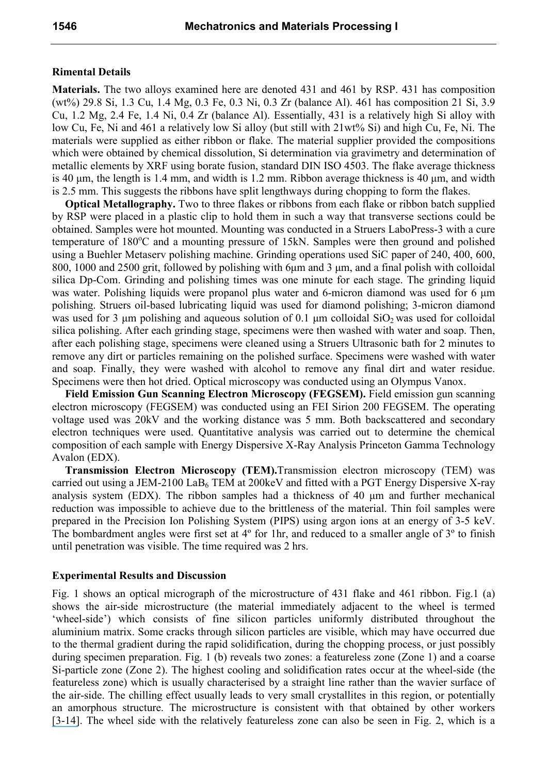### **Rimental Details**

**Materials.** The two alloys examined here are denoted 431 and 461 by RSP. 431 has composition (wt%) 29.8 Si, 1.3 Cu, 1.4 Mg, 0.3 Fe, 0.3 Ni, 0.3 Zr (balance Al). 461 has composition 21 Si, 3.9 Cu, 1.2 Mg, 2.4 Fe, 1.4 Ni, 0.4 Zr (balance Al). Essentially, 431 is a relatively high Si alloy with low Cu, Fe, Ni and 461 a relatively low Si alloy (but still with 21wt% Si) and high Cu, Fe, Ni. The materials were supplied as either ribbon or flake. The material supplier provided the compositions which were obtained by chemical dissolution, Si determination via gravimetry and determination of metallic elements by XRF using borate fusion, standard DIN ISO 4503. The flake average thickness is 40  $\mu$ m, the length is 1.4 mm, and width is 1.2 mm. Ribbon average thickness is 40  $\mu$ m, and width is 2.5 mm. This suggests the ribbons have split lengthways during chopping to form the flakes.

**Optical Metallography.** Two to three flakes or ribbons from each flake or ribbon batch supplied by RSP were placed in a plastic clip to hold them in such a way that transverse sections could be obtained. Samples were hot mounted. Mounting was conducted in a Struers LaboPress-3 with a cure temperature of  $180^{\circ}$ C and a mounting pressure of  $15kN$ . Samples were then ground and polished using a Buehler Metaserv polishing machine. Grinding operations used SiC paper of 240, 400, 600, 800, 1000 and 2500 grit, followed by polishing with 6µm and 3 µm, and a final polish with colloidal silica Dp-Com. Grinding and polishing times was one minute for each stage. The grinding liquid was water. Polishing liquids were propanol plus water and 6-micron diamond was used for 6  $\mu$ m polishing. Struers oil-based lubricating liquid was used for diamond polishing; 3-micron diamond was used for 3  $\mu$ m polishing and aqueous solution of 0.1  $\mu$ m colloidal SiO<sub>2</sub> was used for colloidal silica polishing. After each grinding stage, specimens were then washed with water and soap. Then, after each polishing stage, specimens were cleaned using a Struers Ultrasonic bath for 2 minutes to remove any dirt or particles remaining on the polished surface. Specimens were washed with water and soap. Finally, they were washed with alcohol to remove any final dirt and water residue. Specimens were then hot dried. Optical microscopy was conducted using an Olympus Vanox.

**Field Emission Gun Scanning Electron Microscopy (FEGSEM).** Field emission gun scanning electron microscopy (FEGSEM) was conducted using an FEI Sirion 200 FEGSEM. The operating voltage used was 20kV and the working distance was 5 mm. Both backscattered and secondary electron techniques were used. Quantitative analysis was carried out to determine the chemical composition of each sample with Energy Dispersive X-Ray Analysis Princeton Gamma Technology Avalon (EDX).

**Transmission Electron Microscopy (TEM).**Transmission electron microscopy (TEM) was carried out using a JEM-2100 LaB<sub>6</sub> TEM at 200 keV and fitted with a PGT Energy Dispersive X-ray analysis system (EDX). The ribbon samples had a thickness of 40 µm and further mechanical reduction was impossible to achieve due to the brittleness of the material. Thin foil samples were prepared in the Precision Ion Polishing System (PIPS) using argon ions at an energy of 3-5 keV. The bombardment angles were first set at 4<sup>°</sup> for 1hr, and reduced to a smaller angle of 3<sup>°</sup> to finish until penetration was visible. The time required was 2 hrs.

#### **Experimental Results and Discussion**

Fig. 1 shows an optical micrograph of the microstructure of 431 flake and 461 ribbon. Fig.1 (a) shows the air-side microstructure (the material immediately adjacent to the wheel is termed 'wheel-side') which consists of fine silicon particles uniformly distributed throughout the aluminium matrix. Some cracks through silicon particles are visible, which may have occurred due to the thermal gradient during the rapid solidification, during the chopping process, or just possibly during specimen preparation. Fig. 1 (b) reveals two zones: a featureless zone (Zone 1) and a coarse Si-particle zone (Zone 2). The highest cooling and solidification rates occur at the wheel-side (the featureless zone) which is usually characterised by a straight line rather than the wavier surface of the air-side. The chilling effect usually leads to very small crystallites in this region, or potentially an amorphous structure. The microstructure is consistent with that obtained by other workers [\[3](https://www.researchgate.net/publication/222793157_Property_improvement_in_Al-Si_alloys_through_rapid_solidification_processing?el=1_x_8&enrichId=rgreq-e4b3266f5df9c0926a53f333b7cb74a2-XXX&enrichSource=Y292ZXJQYWdlOzI2MDU5ODg2MDtBUzozMzY2NjE4NDcyNjUyODBAMTQ1NzI3Nzg0NzYwMw==)[-](https://www.researchgate.net/publication/222071566_Characterization_investigations_of_melt-spun_ternary_Al-xSi-33Fe_x10_20_wt_alloys?el=1_x_8&enrichId=rgreq-e4b3266f5df9c0926a53f333b7cb74a2-XXX&enrichSource=Y292ZXJQYWdlOzI2MDU5ODg2MDtBUzozMzY2NjE4NDcyNjUyODBAMTQ1NzI3Nzg0NzYwMw==)[14\]](https://www.researchgate.net/publication/223554415_Microstructure_and_phase_formation_in_spray-deposited_Al-18Si-5Fe-15Cu_alloy?el=1_x_8&enrichId=rgreq-e4b3266f5df9c0926a53f333b7cb74a2-XXX&enrichSource=Y292ZXJQYWdlOzI2MDU5ODg2MDtBUzozMzY2NjE4NDcyNjUyODBAMTQ1NzI3Nzg0NzYwMw==). The wheel side with the relatively featureless zone can also be seen in Fig. 2, which is a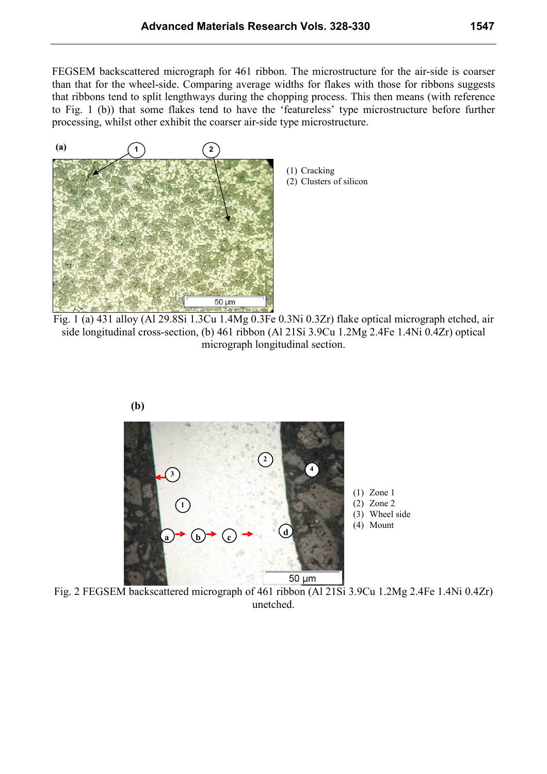FEGSEM backscattered micrograph for 461 ribbon. The microstructure for the air-side is coarser than that for the wheel-side. Comparing average widths for flakes with those for ribbons suggests that ribbons tend to split lengthways during the chopping process. This then means (with reference to Fig. 1 (b)) that some flakes tend to have the 'featureless' type microstructure before further processing, whilst other exhibit the coarser air-side type microstructure.



(1) Cracking (2) Clusters of silicon

Fig. 1 (a) 431 alloy (Al 29.8Si 1.3Cu 1.4Mg 0.3Fe 0.3Ni 0.3Zr) flake optical micrograph etched, air side longitudinal cross-section, (b) 461 ribbon (Al 21Si 3.9Cu 1.2Mg 2.4Fe 1.4Ni 0.4Zr) optical micrograph longitudinal section.



Fig. 2 FEGSEM backscattered micrograph of 461 ribbon (Al 21Si 3.9Cu 1.2Mg 2.4Fe 1.4Ni 0.4Zr) unetched.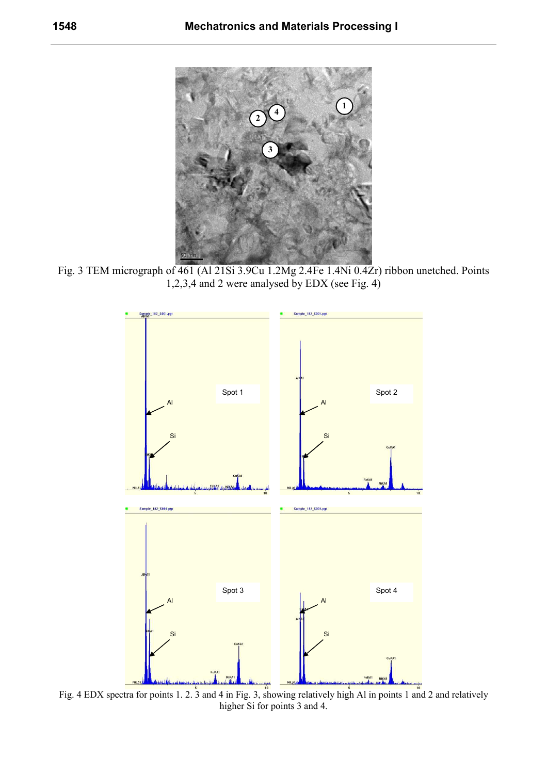

Fig. 3 TEM micrograph of 461 (Al 21Si 3.9Cu 1.2Mg 2.4Fe 1.4Ni 0.4Zr) ribbon unetched. Points 1,2,3,4 and 2 were analysed by EDX (see Fig. 4)



Fig. 4 EDX spectra for points 1. 2. 3 and 4 in Fig. 3, showing relatively high Al in points 1 and 2 and relatively higher Si for points 3 and 4.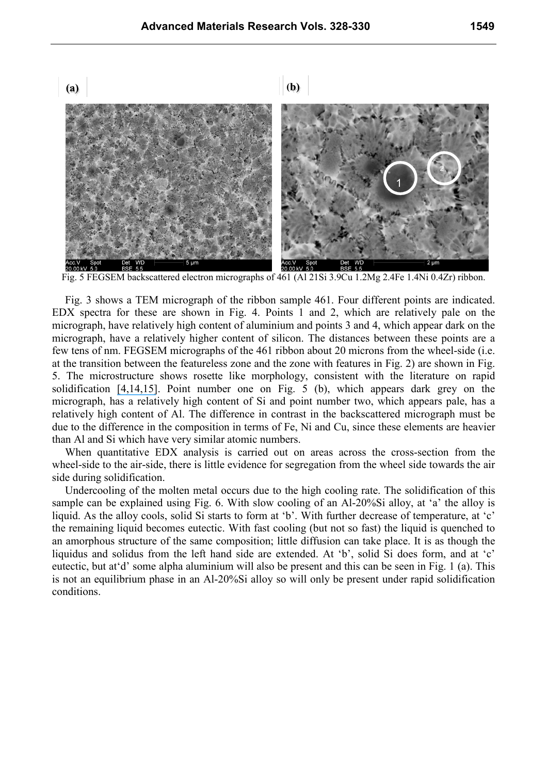**(a) (b)**



Fig. 5 FEGSEM backscattered electron micrographs of 461 (Al 21Si 3.9Cu 1.2Mg 2.4Fe 1.4Ni 0.4Zr) ribbon.

Fig. 3 shows a TEM micrograph of the ribbon sample 461. Four different points are indicated. EDX spectra for these are shown in Fig. 4. Points 1 and 2, which are relatively pale on the micrograph, have relatively high content of aluminium and points 3 and 4, which appear dark on the micrograph, have a relatively higher content of silicon. The distances between these points are a few tens of nm. FEGSEM micrographs of the 461 ribbon about 20 microns from the wheel-side (i.e. at the transition between the featureless zone and the zone with features in Fig. 2) are shown in Fig. 5. The microstructure shows rosette like morphology, consistent with the literature on rapid solidification [\[4,](https://www.researchgate.net/publication/222071566_Characterization_investigations_of_melt-spun_ternary_Al-xSi-33Fe_x10_20_wt_alloys?el=1_x_8&enrichId=rgreq-e4b3266f5df9c0926a53f333b7cb74a2-XXX&enrichSource=Y292ZXJQYWdlOzI2MDU5ODg2MDtBUzozMzY2NjE4NDcyNjUyODBAMTQ1NzI3Nzg0NzYwMw==)[14,](https://www.researchgate.net/publication/223554415_Microstructure_and_phase_formation_in_spray-deposited_Al-18Si-5Fe-15Cu_alloy?el=1_x_8&enrichId=rgreq-e4b3266f5df9c0926a53f333b7cb74a2-XXX&enrichSource=Y292ZXJQYWdlOzI2MDU5ODg2MDtBUzozMzY2NjE4NDcyNjUyODBAMTQ1NzI3Nzg0NzYwMw==)[15\]](https://www.researchgate.net/publication/226980586_Structure_and_properties_of_rapidly_solidified_Al_rich_Al-Mn-Si_alloys_Part_I_Melt_spun_ribbons?el=1_x_8&enrichId=rgreq-e4b3266f5df9c0926a53f333b7cb74a2-XXX&enrichSource=Y292ZXJQYWdlOzI2MDU5ODg2MDtBUzozMzY2NjE4NDcyNjUyODBAMTQ1NzI3Nzg0NzYwMw==). Point number one on Fig. 5 (b), which appears dark grey on the micrograph, has a relatively high content of Si and point number two, which appears pale, has a relatively high content of Al. The difference in contrast in the backscattered micrograph must be due to the difference in the composition in terms of Fe, Ni and Cu, since these elements are heavier than Al and Si which have very similar atomic numbers.

When quantitative EDX analysis is carried out on areas across the cross-section from the wheel-side to the air-side, there is little evidence for segregation from the wheel side towards the air side during solidification.

Undercooling of the molten metal occurs due to the high cooling rate. The solidification of this sample can be explained using Fig. 6. With slow cooling of an Al-20%Si alloy, at 'a' the alloy is liquid. As the alloy cools, solid Si starts to form at 'b'. With further decrease of temperature, at 'c' the remaining liquid becomes eutectic. With fast cooling (but not so fast) the liquid is quenched to an amorphous structure of the same composition; little diffusion can take place. It is as though the liquidus and solidus from the left hand side are extended. At 'b', solid Si does form, and at 'c' eutectic, but at'd' some alpha aluminium will also be present and this can be seen in Fig. 1 (a). This is not an equilibrium phase in an Al-20%Si alloy so will only be present under rapid solidification conditions.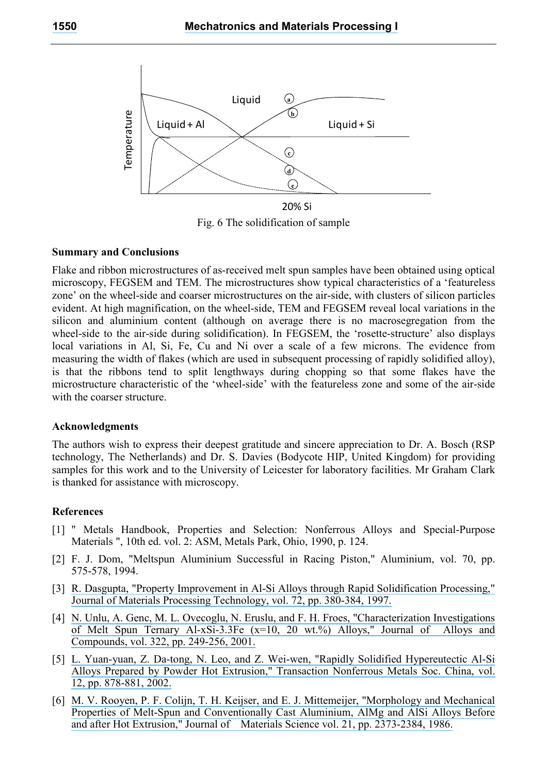

Fig. 6 The solidification of sample

#### **Summary and Conclusions**

Flake and ribbon microstructures of as-received melt spun samples have been obtained using optical microscopy, FEGSEM and TEM. The microstructures show typical characteristics of a 'featureless zone' on the wheel-side and coarser microstructures on the air-side, with clusters of silicon particles evident. At high magnification, on the wheel-side, TEM and FEGSEM reveal local variations in the silicon and aluminium content (although on average there is no macrosegregation from the wheel-side to the air-side during solidification). In FEGSEM, the 'rosette-structure' also displays local variations in Al, Si, Fe, Cu and Ni over a scale of a few microns. The evidence from measuring the width of flakes (which are used in subsequent processing of rapidly solidified alloy), is that the ribbons tend to split lengthways during chopping so that some flakes have the microstructure characteristic of the 'wheel-side' with the featureless zone and some of the air-side with the coarser structure.

#### **Acknowledgments**

The authors wish to express their deepest gratitude and sincere appreciation to Dr. A. Bosch (RSP technology, The Netherlands) and Dr. S. Davies (Bodycote HIP, United Kingdom) for providing samples for this work and to the University of Leicester for laboratory facilities. Mr Graham Clark is thanked for assistance with microscopy.

#### **References**

- [1] " Metals Handbook, Properties and Selection: Nonferrous Alloys and Special-Purpose Materials ", 10th ed. vol. 2: ASM, Metals Park, Ohio, 1990, p. 124.
- [2] F. J. Dom, "Meltspun Aluminium Successful in Racing Piston," Aluminium, vol. 70, pp. 575-578, 1994.
- [3] [R. Dasgupta, "Property Improvement in Al-Si Alloys through Rapid Solidification Processing,"](https://www.researchgate.net/publication/222793157_Property_improvement_in_Al-Si_alloys_through_rapid_solidification_processing?el=1_x_8&enrichId=rgreq-e4b3266f5df9c0926a53f333b7cb74a2-XXX&enrichSource=Y292ZXJQYWdlOzI2MDU5ODg2MDtBUzozMzY2NjE4NDcyNjUyODBAMTQ1NzI3Nzg0NzYwMw==)  [Journal of Materials Processing Technology, vol. 72, pp. 380-384, 1997.](https://www.researchgate.net/publication/222793157_Property_improvement_in_Al-Si_alloys_through_rapid_solidification_processing?el=1_x_8&enrichId=rgreq-e4b3266f5df9c0926a53f333b7cb74a2-XXX&enrichSource=Y292ZXJQYWdlOzI2MDU5ODg2MDtBUzozMzY2NjE4NDcyNjUyODBAMTQ1NzI3Nzg0NzYwMw==)
- [4] [N. Unlu, A. Genc, M. L. Ovecoglu, N. Eruslu, and F. H. Froes, "Characterization Investigations](https://www.researchgate.net/publication/222071566_Characterization_investigations_of_melt-spun_ternary_Al-xSi-33Fe_x10_20_wt_alloys?el=1_x_8&enrichId=rgreq-e4b3266f5df9c0926a53f333b7cb74a2-XXX&enrichSource=Y292ZXJQYWdlOzI2MDU5ODg2MDtBUzozMzY2NjE4NDcyNjUyODBAMTQ1NzI3Nzg0NzYwMw==) [of Melt Spun Ternary Al-xSi-3.3Fe \(x=10, 20 wt.%\) Alloys," Journal of Alloys and](https://www.researchgate.net/publication/222071566_Characterization_investigations_of_melt-spun_ternary_Al-xSi-33Fe_x10_20_wt_alloys?el=1_x_8&enrichId=rgreq-e4b3266f5df9c0926a53f333b7cb74a2-XXX&enrichSource=Y292ZXJQYWdlOzI2MDU5ODg2MDtBUzozMzY2NjE4NDcyNjUyODBAMTQ1NzI3Nzg0NzYwMw==)  [Compounds, vol. 322, pp. 249-256, 2001.](https://www.researchgate.net/publication/222071566_Characterization_investigations_of_melt-spun_ternary_Al-xSi-33Fe_x10_20_wt_alloys?el=1_x_8&enrichId=rgreq-e4b3266f5df9c0926a53f333b7cb74a2-XXX&enrichSource=Y292ZXJQYWdlOzI2MDU5ODg2MDtBUzozMzY2NjE4NDcyNjUyODBAMTQ1NzI3Nzg0NzYwMw==)
- [5] [L. Yuan-yuan, Z. Da-tong, N. Leo, and Z. Wei-wen, "Rapidly Solidified Hypereutectic Al-Si](https://www.researchgate.net/publication/286551124_Rapidly_solidified_hypereutectic_Al-Si_alloys_prepared_by_powder_hot_extrusion?el=1_x_8&enrichId=rgreq-e4b3266f5df9c0926a53f333b7cb74a2-XXX&enrichSource=Y292ZXJQYWdlOzI2MDU5ODg2MDtBUzozMzY2NjE4NDcyNjUyODBAMTQ1NzI3Nzg0NzYwMw==)  [Alloys Prepared by Powder Hot Extrusion," Transaction Nonferrous Metals Soc. China, vol.](https://www.researchgate.net/publication/286551124_Rapidly_solidified_hypereutectic_Al-Si_alloys_prepared_by_powder_hot_extrusion?el=1_x_8&enrichId=rgreq-e4b3266f5df9c0926a53f333b7cb74a2-XXX&enrichSource=Y292ZXJQYWdlOzI2MDU5ODg2MDtBUzozMzY2NjE4NDcyNjUyODBAMTQ1NzI3Nzg0NzYwMw==)  [12, pp. 878-881, 2002.](https://www.researchgate.net/publication/286551124_Rapidly_solidified_hypereutectic_Al-Si_alloys_prepared_by_powder_hot_extrusion?el=1_x_8&enrichId=rgreq-e4b3266f5df9c0926a53f333b7cb74a2-XXX&enrichSource=Y292ZXJQYWdlOzI2MDU5ODg2MDtBUzozMzY2NjE4NDcyNjUyODBAMTQ1NzI3Nzg0NzYwMw==)
- [6] [M. V. Rooyen, P. F. Colijn, T. H. Keijser, and E. J. Mittemeijer, "Morphology and Mechanical](https://www.researchgate.net/publication/226564797_Morphology_and_mechanical_properties_of_melt-spun_and_conventionally_cast_aluminium_AlMg_and_AlSi_alloys_before_and_after_hot_extrusion?el=1_x_8&enrichId=rgreq-e4b3266f5df9c0926a53f333b7cb74a2-XXX&enrichSource=Y292ZXJQYWdlOzI2MDU5ODg2MDtBUzozMzY2NjE4NDcyNjUyODBAMTQ1NzI3Nzg0NzYwMw==)  [Properties of Melt-Spun and Conventionally Cast Aluminium, AlMg and AlSi Alloys Before](https://www.researchgate.net/publication/226564797_Morphology_and_mechanical_properties_of_melt-spun_and_conventionally_cast_aluminium_AlMg_and_AlSi_alloys_before_and_after_hot_extrusion?el=1_x_8&enrichId=rgreq-e4b3266f5df9c0926a53f333b7cb74a2-XXX&enrichSource=Y292ZXJQYWdlOzI2MDU5ODg2MDtBUzozMzY2NjE4NDcyNjUyODBAMTQ1NzI3Nzg0NzYwMw==) [and after Hot Extrusion," Journal of Materials Science vol. 21, pp. 2373-2384, 1986.](https://www.researchgate.net/publication/226564797_Morphology_and_mechanical_properties_of_melt-spun_and_conventionally_cast_aluminium_AlMg_and_AlSi_alloys_before_and_after_hot_extrusion?el=1_x_8&enrichId=rgreq-e4b3266f5df9c0926a53f333b7cb74a2-XXX&enrichSource=Y292ZXJQYWdlOzI2MDU5ODg2MDtBUzozMzY2NjE4NDcyNjUyODBAMTQ1NzI3Nzg0NzYwMw==)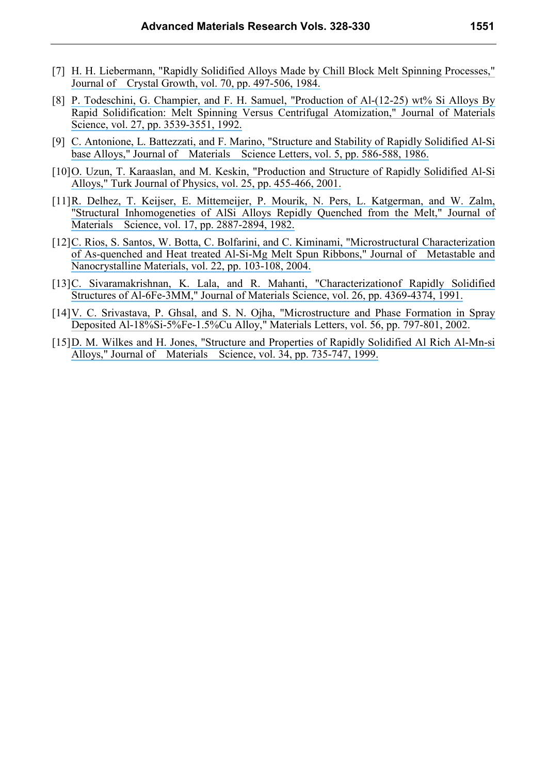- [7] [H. H. Liebermann, "Rapidly Solidified Alloys Made by Chill Block Melt Spinning Processes,"](https://www.researchgate.net/publication/222925413_Rapidly_solidified_alloys_made_by_chill_block_melt-spinning_processes?el=1_x_8&enrichId=rgreq-e4b3266f5df9c0926a53f333b7cb74a2-XXX&enrichSource=Y292ZXJQYWdlOzI2MDU5ODg2MDtBUzozMzY2NjE4NDcyNjUyODBAMTQ1NzI3Nzg0NzYwMw==)  [Journal of Crystal Growth, vol. 70, pp. 497-506, 1984.](https://www.researchgate.net/publication/222925413_Rapidly_solidified_alloys_made_by_chill_block_melt-spinning_processes?el=1_x_8&enrichId=rgreq-e4b3266f5df9c0926a53f333b7cb74a2-XXX&enrichSource=Y292ZXJQYWdlOzI2MDU5ODg2MDtBUzozMzY2NjE4NDcyNjUyODBAMTQ1NzI3Nzg0NzYwMw==)
- [8] [P. Todeschini, G. Champier, and F. H. Samuel, "Production of Al-\(12-25\) wt% Si Alloys By](https://www.researchgate.net/publication/226266058_Production_of_Al-12-25_wt_Si_alloys_by_rapid_solidification_melt_spinning_versus_centrifugal_atomization?el=1_x_8&enrichId=rgreq-e4b3266f5df9c0926a53f333b7cb74a2-XXX&enrichSource=Y292ZXJQYWdlOzI2MDU5ODg2MDtBUzozMzY2NjE4NDcyNjUyODBAMTQ1NzI3Nzg0NzYwMw==)  [Rapid Solidification: Melt Spinning Versus Centrifugal Atomization," Journal of Materials](https://www.researchgate.net/publication/226266058_Production_of_Al-12-25_wt_Si_alloys_by_rapid_solidification_melt_spinning_versus_centrifugal_atomization?el=1_x_8&enrichId=rgreq-e4b3266f5df9c0926a53f333b7cb74a2-XXX&enrichSource=Y292ZXJQYWdlOzI2MDU5ODg2MDtBUzozMzY2NjE4NDcyNjUyODBAMTQ1NzI3Nzg0NzYwMw==)  [Science, vol. 27, pp. 3539-3551, 1992.](https://www.researchgate.net/publication/226266058_Production_of_Al-12-25_wt_Si_alloys_by_rapid_solidification_melt_spinning_versus_centrifugal_atomization?el=1_x_8&enrichId=rgreq-e4b3266f5df9c0926a53f333b7cb74a2-XXX&enrichSource=Y292ZXJQYWdlOzI2MDU5ODg2MDtBUzozMzY2NjE4NDcyNjUyODBAMTQ1NzI3Nzg0NzYwMw==)
- [9] [C. Antonione, L. Battezzati, and F. Marino, "Structure and Stability of Rapidly Solidified Al-Si](https://www.researchgate.net/publication/226255964_Structure_and_stability_of_rapidly_solidified_Al-Si_based_alloys?el=1_x_8&enrichId=rgreq-e4b3266f5df9c0926a53f333b7cb74a2-XXX&enrichSource=Y292ZXJQYWdlOzI2MDU5ODg2MDtBUzozMzY2NjE4NDcyNjUyODBAMTQ1NzI3Nzg0NzYwMw==)  [base Alloys," Journal of Materials Science Letters, vol. 5, pp. 586-588, 1986.](https://www.researchgate.net/publication/226255964_Structure_and_stability_of_rapidly_solidified_Al-Si_based_alloys?el=1_x_8&enrichId=rgreq-e4b3266f5df9c0926a53f333b7cb74a2-XXX&enrichSource=Y292ZXJQYWdlOzI2MDU5ODg2MDtBUzozMzY2NjE4NDcyNjUyODBAMTQ1NzI3Nzg0NzYwMw==)
- [10] O. Uzun, T. Karaaslan, and M. Keskin, "Production and Structure of Rapidly Solidified Al-Si [Alloys," Turk Journal of Physics, vol. 25, pp. 455-466, 2001.](https://www.researchgate.net/publication/238116837_Production_and_Structure_of_Rapidly_Solidified_Al-Si_Alloys?el=1_x_8&enrichId=rgreq-e4b3266f5df9c0926a53f333b7cb74a2-XXX&enrichSource=Y292ZXJQYWdlOzI2MDU5ODg2MDtBUzozMzY2NjE4NDcyNjUyODBAMTQ1NzI3Nzg0NzYwMw==)
- [11] [R. Delhez, T. Keijser, E. Mittemeijer, P. Mourik, N. Pers, L. Katgerman, and W. Zalm,](https://www.researchgate.net/publication/226229509_Structural_inhomogeneities_of_AlSi_alloys_rapidly_quenched_from_the_melt?el=1_x_8&enrichId=rgreq-e4b3266f5df9c0926a53f333b7cb74a2-XXX&enrichSource=Y292ZXJQYWdlOzI2MDU5ODg2MDtBUzozMzY2NjE4NDcyNjUyODBAMTQ1NzI3Nzg0NzYwMw==)  ["Structural Inhomogeneties of AlSi Alloys Repidly Quenched from the Melt," Journal of](https://www.researchgate.net/publication/226229509_Structural_inhomogeneities_of_AlSi_alloys_rapidly_quenched_from_the_melt?el=1_x_8&enrichId=rgreq-e4b3266f5df9c0926a53f333b7cb74a2-XXX&enrichSource=Y292ZXJQYWdlOzI2MDU5ODg2MDtBUzozMzY2NjE4NDcyNjUyODBAMTQ1NzI3Nzg0NzYwMw==) [Materials Science, vol. 17, pp. 2887-2894, 1982.](https://www.researchgate.net/publication/226229509_Structural_inhomogeneities_of_AlSi_alloys_rapidly_quenched_from_the_melt?el=1_x_8&enrichId=rgreq-e4b3266f5df9c0926a53f333b7cb74a2-XXX&enrichSource=Y292ZXJQYWdlOzI2MDU5ODg2MDtBUzozMzY2NjE4NDcyNjUyODBAMTQ1NzI3Nzg0NzYwMw==)
- [12] [C. Rios, S. Santos, W. Botta, C. Bolfarini, and C. Kiminami, "Microstructural Characterization](https://www.researchgate.net/publication/250361705_Microstructural_Characterization_of_As-Quenched_and_Heat_Treated_Al-Si-Mg_Melt-Spun_Ribbons?el=1_x_8&enrichId=rgreq-e4b3266f5df9c0926a53f333b7cb74a2-XXX&enrichSource=Y292ZXJQYWdlOzI2MDU5ODg2MDtBUzozMzY2NjE4NDcyNjUyODBAMTQ1NzI3Nzg0NzYwMw==)  [of As-quenched and Heat treated Al-Si-Mg Melt Spun Ribbons," Journal of Metastable and](https://www.researchgate.net/publication/250361705_Microstructural_Characterization_of_As-Quenched_and_Heat_Treated_Al-Si-Mg_Melt-Spun_Ribbons?el=1_x_8&enrichId=rgreq-e4b3266f5df9c0926a53f333b7cb74a2-XXX&enrichSource=Y292ZXJQYWdlOzI2MDU5ODg2MDtBUzozMzY2NjE4NDcyNjUyODBAMTQ1NzI3Nzg0NzYwMw==) [Nanocrystalline Materials, vol. 22, pp. 103-108, 2004.](https://www.researchgate.net/publication/250361705_Microstructural_Characterization_of_As-Quenched_and_Heat_Treated_Al-Si-Mg_Melt-Spun_Ribbons?el=1_x_8&enrichId=rgreq-e4b3266f5df9c0926a53f333b7cb74a2-XXX&enrichSource=Y292ZXJQYWdlOzI2MDU5ODg2MDtBUzozMzY2NjE4NDcyNjUyODBAMTQ1NzI3Nzg0NzYwMw==)
- [13] [C. Sivaramakrishnan, K. Lala, and R. Mahanti, "Characterizationof Rapidly Solidified](https://www.researchgate.net/publication/226077971_Characterization_of_rapidly_solidified_structures_of_Al-6Fe-3MM?el=1_x_8&enrichId=rgreq-e4b3266f5df9c0926a53f333b7cb74a2-XXX&enrichSource=Y292ZXJQYWdlOzI2MDU5ODg2MDtBUzozMzY2NjE4NDcyNjUyODBAMTQ1NzI3Nzg0NzYwMw==)  [Structures of Al-6Fe-3MM," Journal of Materials Science, vol. 26, pp. 4369-4374, 1991.](https://www.researchgate.net/publication/226077971_Characterization_of_rapidly_solidified_structures_of_Al-6Fe-3MM?el=1_x_8&enrichId=rgreq-e4b3266f5df9c0926a53f333b7cb74a2-XXX&enrichSource=Y292ZXJQYWdlOzI2MDU5ODg2MDtBUzozMzY2NjE4NDcyNjUyODBAMTQ1NzI3Nzg0NzYwMw==)
- [14] [V. C. Srivastava, P. Ghsal, and S. N. Ojha, "Microstructure and Phase Formation in Spray](https://www.researchgate.net/publication/223554415_Microstructure_and_phase_formation_in_spray-deposited_Al-18Si-5Fe-15Cu_alloy?el=1_x_8&enrichId=rgreq-e4b3266f5df9c0926a53f333b7cb74a2-XXX&enrichSource=Y292ZXJQYWdlOzI2MDU5ODg2MDtBUzozMzY2NjE4NDcyNjUyODBAMTQ1NzI3Nzg0NzYwMw==)  [Deposited Al-18%Si-5%Fe-1.5%Cu Alloy," Materials Letters, vol. 56, pp. 797-801, 2002.](https://www.researchgate.net/publication/223554415_Microstructure_and_phase_formation_in_spray-deposited_Al-18Si-5Fe-15Cu_alloy?el=1_x_8&enrichId=rgreq-e4b3266f5df9c0926a53f333b7cb74a2-XXX&enrichSource=Y292ZXJQYWdlOzI2MDU5ODg2MDtBUzozMzY2NjE4NDcyNjUyODBAMTQ1NzI3Nzg0NzYwMw==)
- [15] D. M. Wilkes and H. Jones, "Structure and Properties of Rapidly Solidified Al Rich Al-Mn-si [Alloys," Journal of Materials Science, vol. 34, pp. 735-747, 1999.](https://www.researchgate.net/publication/226980586_Structure_and_properties_of_rapidly_solidified_Al_rich_Al-Mn-Si_alloys_Part_I_Melt_spun_ribbons?el=1_x_8&enrichId=rgreq-e4b3266f5df9c0926a53f333b7cb74a2-XXX&enrichSource=Y292ZXJQYWdlOzI2MDU5ODg2MDtBUzozMzY2NjE4NDcyNjUyODBAMTQ1NzI3Nzg0NzYwMw==)